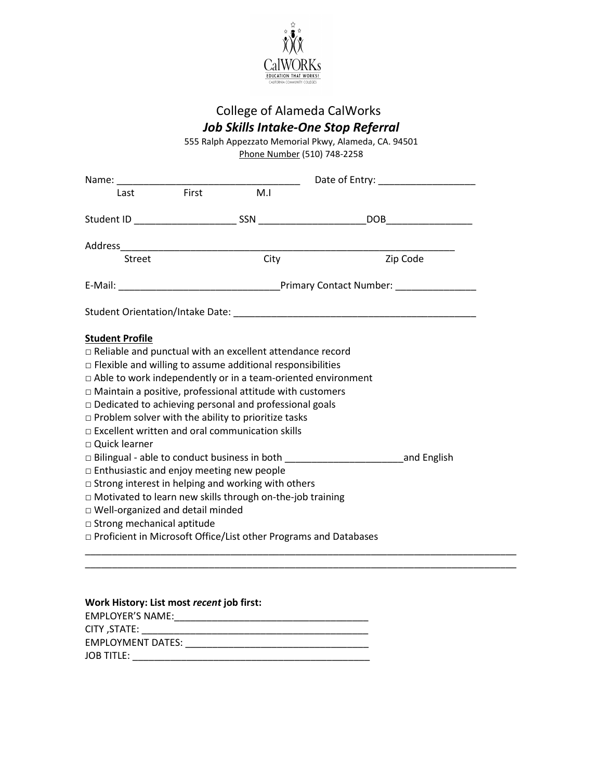

## College of Alameda CalWorks *Job Skills Intake-One Stop Referral*

555 Ralph Appezzato Memorial Pkwy, Alameda, CA. 94501 Phone Number (510) 748-2258

|                                                                    |     |      | Date of Entry: National Property: |  |
|--------------------------------------------------------------------|-----|------|-----------------------------------|--|
| First<br>Last                                                      | M.I |      |                                   |  |
|                                                                    |     |      | _DOB__________________________    |  |
|                                                                    |     |      |                                   |  |
| Street                                                             |     | City | Zip Code                          |  |
|                                                                    |     |      |                                   |  |
|                                                                    |     |      |                                   |  |
| <b>Student Profile</b>                                             |     |      |                                   |  |
| $\Box$ Reliable and punctual with an excellent attendance record   |     |      |                                   |  |
| $\Box$ Flexible and willing to assume additional responsibilities  |     |      |                                   |  |
| □ Able to work independently or in a team-oriented environment     |     |      |                                   |  |
| $\Box$ Maintain a positive, professional attitude with customers   |     |      |                                   |  |
| $\Box$ Dedicated to achieving personal and professional goals      |     |      |                                   |  |
| $\Box$ Problem solver with the ability to prioritize tasks         |     |      |                                   |  |
| $\Box$ Excellent written and oral communication skills             |     |      |                                   |  |
| □ Quick learner                                                    |     |      |                                   |  |
|                                                                    |     |      |                                   |  |
| $\Box$ Enthusiastic and enjoy meeting new people                   |     |      |                                   |  |
| $\Box$ Strong interest in helping and working with others          |     |      |                                   |  |
| □ Motivated to learn new skills through on-the-job training        |     |      |                                   |  |
| $\Box$ Well-organized and detail minded                            |     |      |                                   |  |
| $\Box$ Strong mechanical aptitude                                  |     |      |                                   |  |
| □ Proficient in Microsoft Office/List other Programs and Databases |     |      |                                   |  |

\_\_\_\_\_\_\_\_\_\_\_\_\_\_\_\_\_\_\_\_\_\_\_\_\_\_\_\_\_\_\_\_\_\_\_\_\_\_\_\_\_\_\_\_\_\_\_\_\_\_\_\_\_\_\_\_\_\_\_\_\_\_\_\_\_\_\_\_\_\_\_\_\_\_\_\_\_\_\_\_

| Work History: List most recent job first: |
|-------------------------------------------|
| <b>EMPLOYER'S NAME:</b>                   |
| CITY ,STATE:                              |
| EMPLOYMENT DATES:                         |
| <b>JOB TITLE:</b>                         |